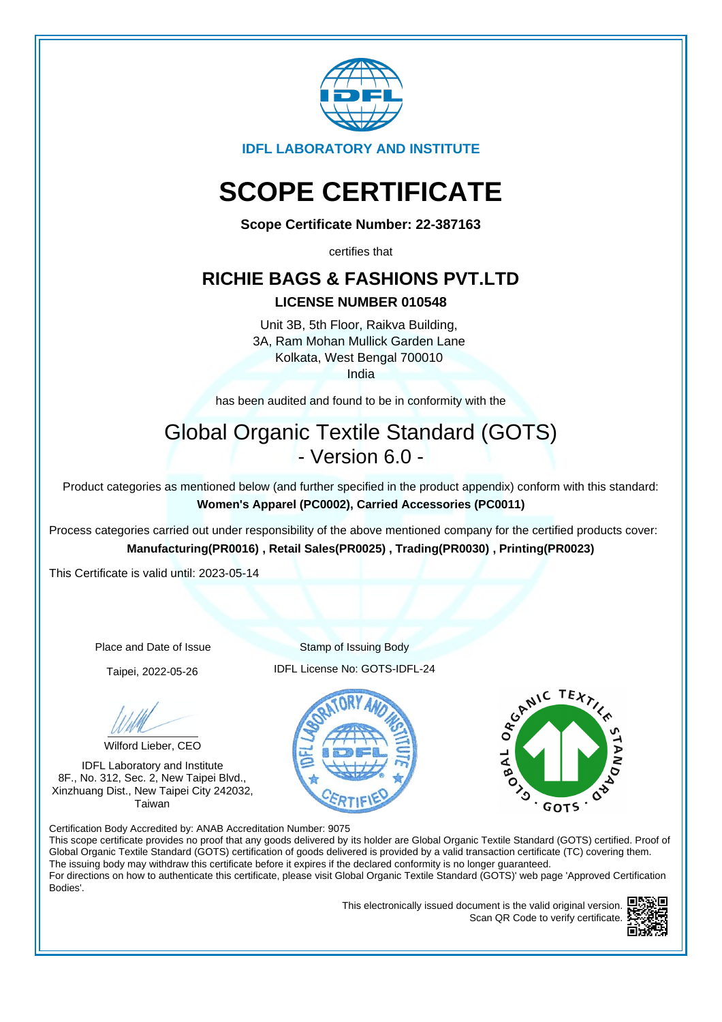

**IDFL LABORATORY AND INSTITUTE**

# **SCOPE CERTIFICATE**

**Scope Certificate Number: 22-387163**

certifies that

### **RICHIE BAGS & FASHIONS PVT.LTD**

### **LICENSE NUMBER 010548**

Unit 3B, 5th Floor, Raikva Building, 3A, Ram Mohan Mullick Garden Lane Kolkata, West Bengal 700010 India

has been audited and found to be in conformity with the

## Global Organic Textile Standard (GOTS) - Version 6.0 -

Product categories as mentioned below (and further specified in the product appendix) conform with this standard: **Women's Apparel (PC0002), Carried Accessories (PC0011)**

Process categories carried out under responsibility of the above mentioned company for the certified products cover: **Manufacturing(PR0016) , Retail Sales(PR0025) , Trading(PR0030) , Printing(PR0023)**

This Certificate is valid until: 2023-05-14

Wilford Lieber, CEO

IDFL Laboratory and Institute 8F., No. 312, Sec. 2, New Taipei Blvd., Xinzhuang Dist., New Taipei City 242032, Taiwan

Place and Date of Issue Stamp of Issuing Body Taipei, 2022-05-26 IDFL License No: GOTS-IDFL-24





Certification Body Accredited by: ANAB Accreditation Number: 9075

This scope certificate provides no proof that any goods delivered by its holder are Global Organic Textile Standard (GOTS) certified. Proof of Global Organic Textile Standard (GOTS) certification of goods delivered is provided by a valid transaction certificate (TC) covering them. The issuing body may withdraw this certificate before it expires if the declared conformity is no longer guaranteed. For directions on how to authenticate this certificate, please visit Global Organic Textile Standard (GOTS)' web page 'Approved Certification Bodies'.

> This electronically issued document is the valid original version. Scan QR Code to verify certificate.

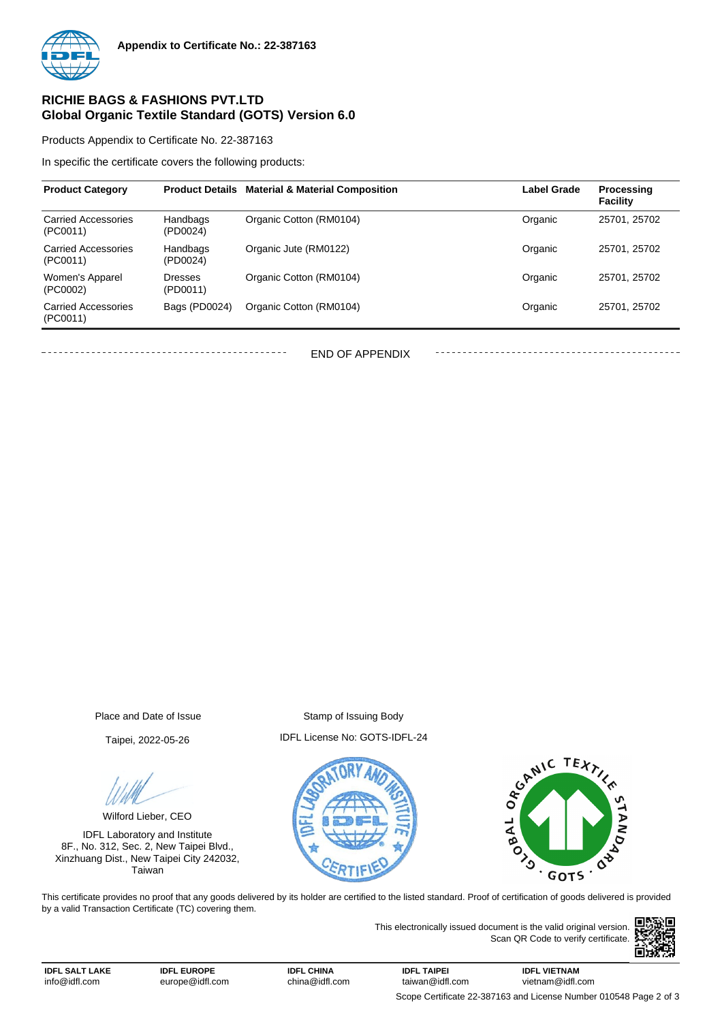

### **RICHIE BAGS & FASHIONS PVT.LTD Global Organic Textile Standard (GOTS) Version 6.0**

Products Appendix to Certificate No. 22-387163

In specific the certificate covers the following products:

| <b>Product Category</b>                | <b>Product Details</b>     | <b>Material &amp; Material Composition</b> | <b>Label Grade</b> | Processing<br><b>Facility</b> |
|----------------------------------------|----------------------------|--------------------------------------------|--------------------|-------------------------------|
| <b>Carried Accessories</b><br>(PC0011) | Handbags<br>(PD0024)       | Organic Cotton (RM0104)                    | Organic            | 25701, 25702                  |
| <b>Carried Accessories</b><br>(PC0011) | Handbags<br>(PD0024)       | Organic Jute (RM0122)                      | Organic            | 25701, 25702                  |
| Women's Apparel<br>(PC0002)            | <b>Dresses</b><br>(PD0011) | Organic Cotton (RM0104)                    | Organic            | 25701, 25702                  |
| <b>Carried Accessories</b><br>(PC0011) | Bags (PD0024)              | Organic Cotton (RM0104)                    | Organic            | 25701, 25702                  |

END OF APPENDIX

Place and Date of Issue Stamp of Issuing Body

Wilford Lieber, CEO

IDFL Laboratory and Institute 8F., No. 312, Sec. 2, New Taipei Blvd., Xinzhuang Dist., New Taipei City 242032, Taiwan

Taipei, 2022-05-26 IDFL License No: GOTS-IDFL-24





This certificate provides no proof that any goods delivered by its holder are certified to the listed standard. Proof of certification of goods delivered is provided by a valid Transaction Certificate (TC) covering them.

> This electronically issued document is the valid original version. Scan QR Code to verify certificate.



**IDFL SALT LAKE** info@idfl.com

**IDFL CHINA** china@idfl.com

**IDFL TAIPEI** taiwan@idfl.com **IDFL VIETNAM** vietnam@idfl.com Scope Certificate 22-387163 and License Number 010548 Page 2 of 3